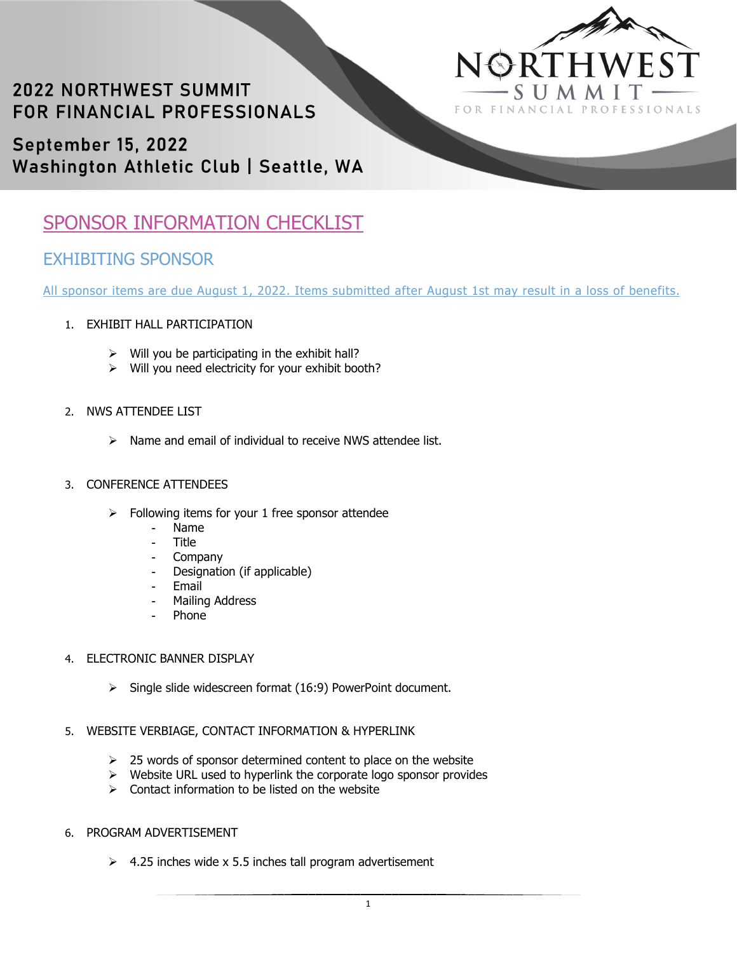

# **2022 NORTHWEST SUMMIT** FOR FINANCIAL PROFESSIONALS

September 15, 2022 Washington Athletic Club | Seattle, WA

## SPONSOR INFORMATION CHECKLIST

### EXHIBITING SPONSOR

All sponsor items are due August 1, 2022. Items submitted after August 1st may result in a loss of benefits.

- 1. EXHIBIT HALL PARTICIPATION
	- $\triangleright$  Will you be participating in the exhibit hall?
	- $\triangleright$  Will you need electricity for your exhibit booth?

#### 2. NWS ATTENDEE LIST

 $\triangleright$  Name and email of individual to receive NWS attendee list.

#### 3. CONFERENCE ATTENDEES

- $\triangleright$  Following items for your 1 free sponsor attendee
	- Name
	- **Title**
	- **Company**
	- Designation (if applicable)
	- Email
	- Mailing Address
	- Phone<sup>1</sup>

#### 4. ELECTRONIC BANNER DISPLAY

 $\triangleright$  Single slide widescreen format (16:9) PowerPoint document.

### 5. WEBSITE VERBIAGE, CONTACT INFORMATION & HYPERLINK

- $\geq$  25 words of sponsor determined content to place on the website
- $\triangleright$  Website URL used to hyperlink the corporate logo sponsor provides
- $\triangleright$  Contact information to be listed on the website
- 6. PROGRAM ADVERTISEMENT
	- $\geq$  4.25 inches wide x 5.5 inches tall program advertisement